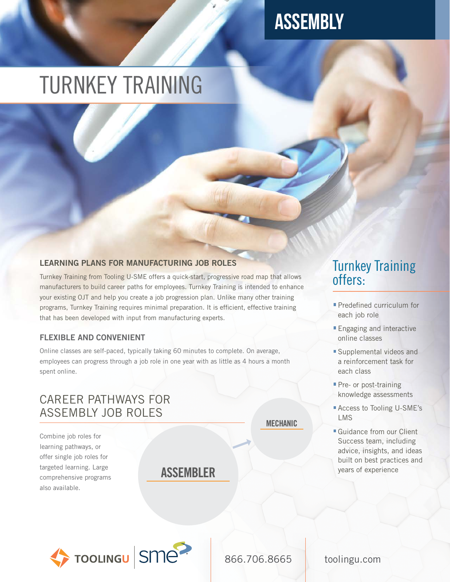# **ASSEMBLY**

# TURNKEY TRAINING

## LEARNING PLANS FOR MANUFACTURING JOB ROLES

Turnkey Training from Tooling U-SME offers a quick-start, progressive road map that allows manufacturers to build career paths for employees. Turnkey Training is intended to enhance your existing OJT and help you create a job progression plan. Unlike many other training programs, Turnkey Training requires minimal preparation. It is efficient, effective training that has been developed with input from manufacturing experts.

### FLEXIBLE AND CONVENIENT

Online classes are self-paced, typically taking 60 minutes to complete. On average, employees can progress through a job role in one year with as little as 4 hours a month spent online.

## CAREER PATHWAYS FOR ASSEMBLY JOB ROLES

Combine job roles for learning pathways, or offer single job roles for targeted learning. Large comprehensive programs also available.

ASSEMBLER

## Turnkey Training offers:

- **Predefined curriculum for** each job role
- **Engaging and interactive** online classes
- **Supplemental videos and** a reinforcement task for each class
- **Pre- or post-training** knowledge assessments
- Access to Tooling U-SME's LMS
- **Guidance from our Client** Success team, including advice, insights, and ideas built on best practices and years of experience



866.706.8665 toolingu.com

MECHANIC